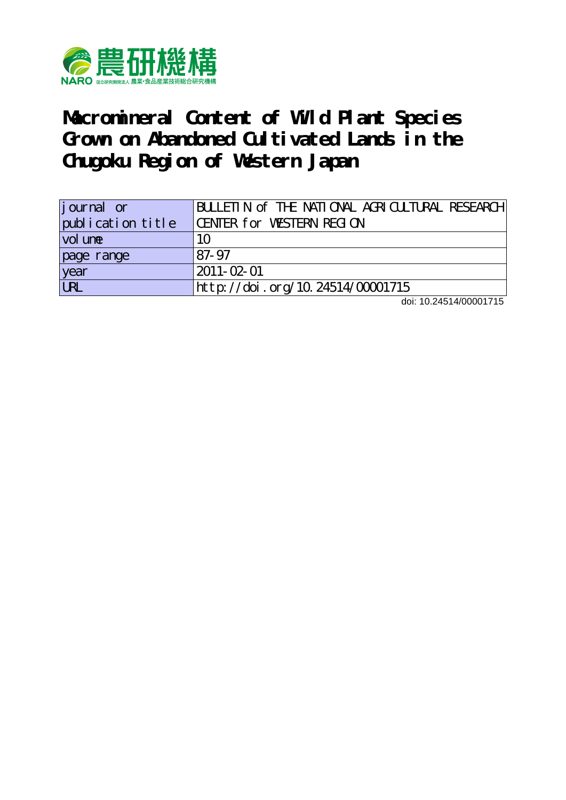

**Macromineral Content of Wild Plant Species** Grown on Abandoned Cultivated Lands in the **Chugoku Region of Western Japan**

| journal or        | BULLETIN of THE NATIONAL AGRICUTURAL RESEARCH |
|-------------------|-----------------------------------------------|
| publication title | CENTER for WESTERN REGION                     |
| vol une           | 10                                            |
| page range        | 87-97                                         |
| year<br>URL       | 2011-02-01                                    |
|                   | http://doi.org/10.24514/00001715              |

doi: 10.24514/00001715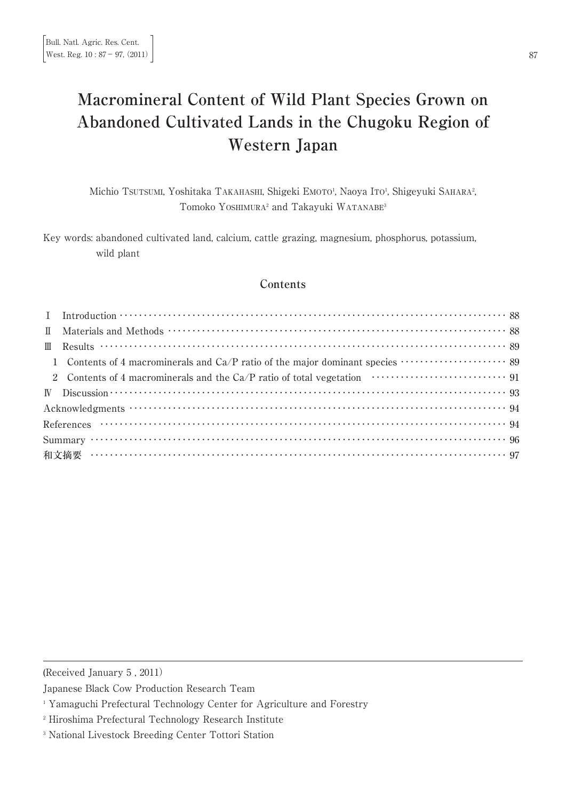# **Macromineral Content of Wild Plant Species Grown on Abandoned Cultivated Lands in the Chugoku Region of Western Japan**

Michio Tsuтsuмı, Yoshitaka Таканаѕнı, Shigeki Емото<sup>і</sup>, Naoya Iто<sup>і</sup>, Shigeyuki Sанака<sup>з</sup> ։<br>, Tomoko YOSHIMURA<sup>2</sup> and Takayuki WATANABE<sup>3</sup>

Key words: abandoned cultivated land, calcium, cattle grazing, magnesium, phosphorus, potassium, wild plant

# **Contents**

| I Introduction $\cdots$ $\cdots$ $\cdots$ $\cdots$ $\cdots$ $\cdots$ $\cdots$ $\cdots$ $\cdots$ $\cdots$ $\cdots$ $\cdots$ $\cdots$ $\cdots$ $\cdots$ $\cdots$ $\cdots$ $\cdots$ $\cdots$ $\cdots$ $\cdots$ $\cdots$ $\cdots$ $\cdots$ $\cdots$ $\cdots$ |  |
|----------------------------------------------------------------------------------------------------------------------------------------------------------------------------------------------------------------------------------------------------------|--|
|                                                                                                                                                                                                                                                          |  |
|                                                                                                                                                                                                                                                          |  |
|                                                                                                                                                                                                                                                          |  |
|                                                                                                                                                                                                                                                          |  |
|                                                                                                                                                                                                                                                          |  |
|                                                                                                                                                                                                                                                          |  |
| References $\cdots$ $\cdots$ $\cdots$ $\cdots$ $\cdots$ $\cdots$ $\cdots$ $\cdots$ $\cdots$ $\cdots$ $\cdots$ $\cdots$ $\cdots$ $\cdots$ $\cdots$ $\cdots$ $\cdots$ $\cdots$ $\cdots$ $\cdots$ $\cdots$                                                  |  |
| Summary $\cdots$ $\cdots$ $\cdots$ $\cdots$ $\cdots$ $\cdots$ $\cdots$ $\cdots$ $\cdots$ $\cdots$ $\cdots$ $\cdots$ $\cdots$ $\cdots$ $\cdots$ $\cdots$ $\cdots$ $\cdots$ $\cdots$ $\cdots$ $\cdots$ $\cdots$ $\cdots$ $\cdots$ $\cdots$                 |  |
| 和文摘要 …………………………………………………………………………………………… 97                                                                                                                                                                                                              |  |

(Received January 5 , 2011)

Japanese Black Cow Production Research Team

- <sup>2</sup> Hiroshima Prefectural Technology Research Institute
- <sup>3</sup> National Livestock Breeding Center Tottori Station

<sup>&</sup>lt;sup>1</sup> Yamaguchi Prefectural Technology Center for Agriculture and Forestry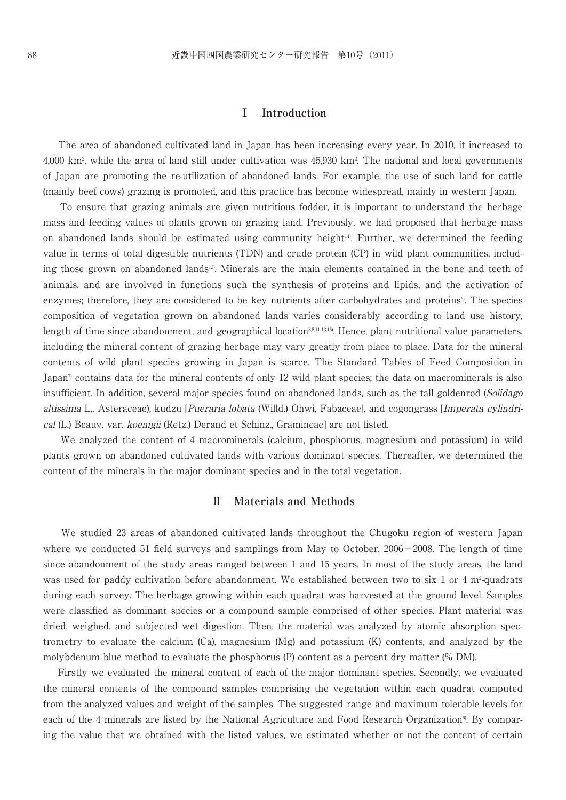# **Ⅰ Introduction**

The area of abandoned cultivated land in Japan has been increasing every year. In 2010, it increased to 4,000 km2 , while the area of land still under cultivation was 45,930 km2 . The national and local governments of Japan are promoting the re-utilization of abandoned lands. For example, the use of such land for cattle (mainly beef cows) grazing is promoted, and this practice has become widespread, mainly in western Japan.

To ensure that grazing animals are given nutritious fodder, it is important to understand the herbage mass and feeding values of plants grown on grazing land. Previously, we had proposed that herbage mass on abandoned lands should be estimated using community height14). Further, we determined the feeding value in terms of total digestible nutrients (TDN) and crude protein (CP) in wild plant communities, including those grown on abandoned lands<sup>13</sup>. Minerals are the main elements contained in the bone and teeth of animals, and are involved in functions such the synthesis of proteins and lipids, and the activation of enzymes; therefore, they are considered to be key nutrients after carbohydrates and proteins<sup>6</sup>. The species composition of vegetation grown on abandoned lands varies considerably according to land use history, length of time since abandonment, and geographical location<sup>3,5,11-13,15</sup>). Hence, plant nutritional value parameters, including the mineral content of grazing herbage may vary greatly from place to place. Data for the mineral contents of wild plant species growing in Japan is scarce. The Standard Tables of Feed Composition in Japan<sup>7</sup> contains data for the mineral contents of only 12 wild plant species; the data on macrominerals is also insufficient. In addition, several major species found on abandoned lands, such as the tall goldenrod (Solidago altissima L., Asteraceae), kudzu [Pueraria lobata (Willd.) Ohwi, Fabaceae], and cogongrass [Imperata cylindrical (L.) Beauv. var. koenigii (Retz.) Derand et Schinz., Gramineae] are not listed.

We analyzed the content of 4 macrominerals (calcium, phosphorus, magnesium and potassium) in wild plants grown on abandoned cultivated lands with various dominant species. Thereafter, we determined the content of the minerals in the major dominant species and in the total vegetation.

#### **Ⅱ Materials and Methods**

We studied 23 areas of abandoned cultivated lands throughout the Chugoku region of western Japan where we conducted 51 field surveys and samplings from May to October,  $2006 - 2008$ . The length of time since abandonment of the study areas ranged between 1 and 15 years. In most of the study areas, the land was used for paddy cultivation before abandonment. We established between two to six 1 or 4 m<sup>2</sup>-quadrats during each survey. The herbage growing within each quadrat was harvested at the ground level. Samples were classified as dominant species or a compound sample comprised of other species. Plant material was dried, weighed, and subjected wet digestion. Then, the material was analyzed by atomic absorption spectrometry to evaluate the calcium (Ca), magnesium (Mg) and potassium (K) contents, and analyzed by the molybdenum blue method to evaluate the phosphorus (P) content as a percent dry matter (% DM).

Firstly we evaluated the mineral content of each of the major dominant species. Secondly, we evaluated the mineral contents of the compound samples comprising the vegetation within each quadrat computed from the analyzed values and weight of the samples. The suggested range and maximum tolerable levels for each of the 4 minerals are listed by the National Agriculture and Food Research Organization<sup>®</sup>. By comparing the value that we obtained with the listed values, we estimated whether or not the content of certain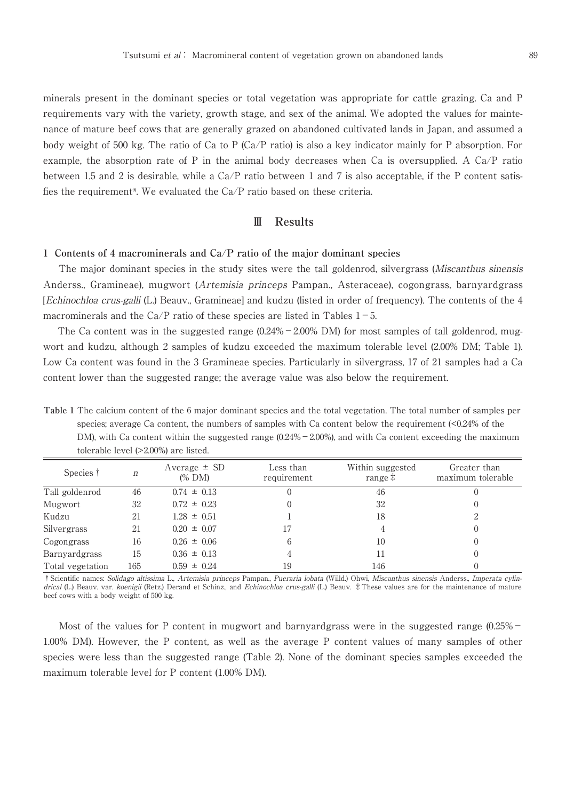minerals present in the dominant species or total vegetation was appropriate for cattle grazing. Ca and P requirements vary with the variety, growth stage, and sex of the animal. We adopted the values for maintenance of mature beef cows that are generally grazed on abandoned cultivated lands in Japan, and assumed a body weight of 500 kg. The ratio of Ca to P (Ca/P ratio) is also a key indicator mainly for P absorption. For example, the absorption rate of P in the animal body decreases when Ca is oversupplied. A Ca/P ratio between 1.5 and 2 is desirable, while a Ca/P ratio between 1 and 7 is also acceptable, if the P content satisfies the requirement<sup>9</sup>. We evaluated the  $Ca/P$  ratio based on these criteria.

## **Ⅲ Results**

#### **1 Contents of 4 macrominerals and Ca/P ratio of the major dominant species**

The major dominant species in the study sites were the tall goldenrod, silvergrass (Miscanthus sinensis Anderss., Gramineae), mugwort (Artemisia princeps Pampan., Asteraceae), cogongrass, barnyardgrass [Echinochloa crus-galli (L.) Beauv., Gramineae] and kudzu (listed in order of frequency). The contents of the 4 macrominerals and the Ca/P ratio of these species are listed in Tables  $1-5$ .

The Ca content was in the suggested range  $(0.24\% - 2.00\%$  DM) for most samples of tall goldenrod, mugwort and kudzu, although 2 samples of kudzu exceeded the maximum tolerable level (2.00% DM; Table 1). Low Ca content was found in the 3 Gramineae species. Particularly in silvergrass, 17 of 21 samples had a Ca content lower than the suggested range; the average value was also below the requirement.

**Table 1** The calcium content of the 6 major dominant species and the total vegetation. The total number of samples per species; average Ca content, the numbers of samples with Ca content below the requirement (<0.24% of the DM), with Ca content within the suggested range  $(0.24\% - 2.00\%)$ , and with Ca content exceeding the maximum tolerable level (>2.00%) are listed.

| Species †        | n   | Average $\pm$ SD<br>$(\%$ DM) | Less than<br>requirement | Within suggested<br>range $\ddagger$ | Greater than<br>maximum tolerable |
|------------------|-----|-------------------------------|--------------------------|--------------------------------------|-----------------------------------|
| Tall goldenrod   | 46  | $0.74 \pm 0.13$               |                          | 46                                   |                                   |
| Mugwort          | 32  | $0.72 \pm 0.23$               |                          | 32                                   |                                   |
| Kudzu            | 21  | $1.28 \pm 0.51$               |                          | 18                                   |                                   |
| Silvergrass      | 21  | $0.20 \pm 0.07$               | 17                       |                                      |                                   |
| Cogongrass       | 16  | $0.26 \pm 0.06$               | 6                        | 10                                   |                                   |
| Barnyardgrass    | 15  | $0.36 \pm 0.13$               | 4                        |                                      |                                   |
| Total vegetation | 165 | $0.59 \pm 0.24$               | 19                       | 146                                  |                                   |

†Scientific names: Solidago altissima L., Artemisia princeps Pampan., Pueraria lobata (Willd.) Ohwi, Miscanthus sinensis Anderss., Imperata cylindrical (L.) Beauv. var. koenigii (Retz.) Derand et Schinz., and Echinochloa crus-galli (L.) Beauv.  $\ddagger$  These values are for the maintenance of mature beef cows with a body weight of 500 kg.

Most of the values for P content in mugwort and barnyardgrass were in the suggested range (0.25% -1.00% DM). However, the P content, as well as the average P content values of many samples of other species were less than the suggested range (Table 2). None of the dominant species samples exceeded the maximum tolerable level for P content (1.00% DM).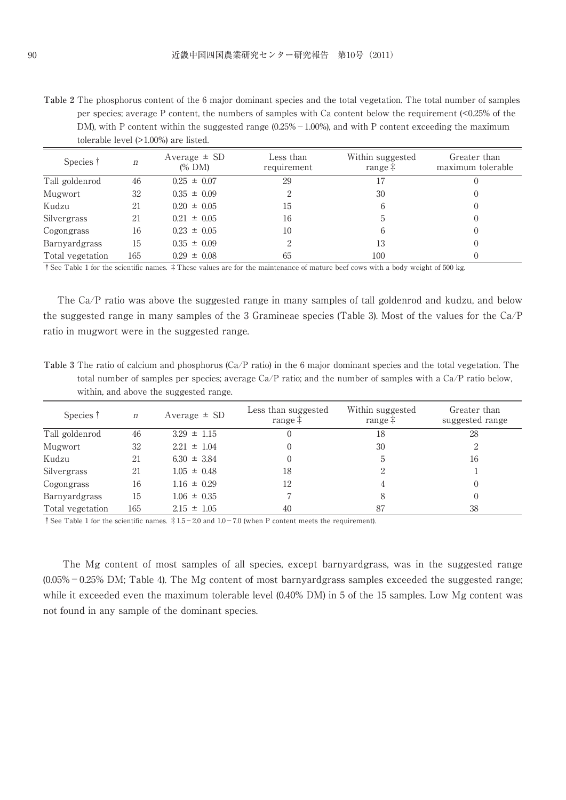**Table 2** The phosphorus content of the 6 major dominant species and the total vegetation. The total number of samples per species; average P content, the numbers of samples with Ca content below the requirement (<0.25% of the DM), with P content within the suggested range  $(0.25\% - 1.00\%)$ , and with P content exceeding the maximum tolerable level (>1.00%) are listed.

| Species †        | n   | Average $\pm$ SD<br>$(\%$ DM) | Less than<br>requirement | Within suggested<br>range $\ddagger$ | Greater than<br>maximum tolerable |
|------------------|-----|-------------------------------|--------------------------|--------------------------------------|-----------------------------------|
| Tall goldenrod   | 46  | $0.25 \pm 0.07$               | 29                       |                                      |                                   |
| Mugwort          | 32  | $0.35 \pm 0.09$               | 2                        | 30                                   |                                   |
| Kudzu            | 21  | $0.20 \pm 0.05$               | 15                       | 6                                    |                                   |
| Silvergrass      | 21  | $0.21 \pm 0.05$               | 16                       | ۰.                                   |                                   |
| Cogongrass       | 16  | $0.23 \pm 0.05$               | 10                       | 6                                    |                                   |
| Barnyardgrass    | 15  | $0.35 \pm 0.09$               | 2                        | 13                                   |                                   |
| Total vegetation | 165 | $0.29 \pm 0.08$               | 65                       | 100                                  |                                   |

†See Table 1 for the scientific names. ‡These values are for the maintenance of mature beef cows with a body weight of 500 kg.

The Ca/P ratio was above the suggested range in many samples of tall goldenrod and kudzu, and below the suggested range in many samples of the 3 Gramineae species (Table 3). Most of the values for the Ca/P ratio in mugwort were in the suggested range.

**Table 3** The ratio of calcium and phosphorus (Ca/P ratio) in the 6 major dominant species and the total vegetation. The total number of samples per species; average Ca/P ratio; and the number of samples with a Ca/P ratio below, within, and above the suggested range.

| Species †        | $\boldsymbol{n}$ | Average $\pm$ SD | Less than suggested<br>range $\ddagger$ | Within suggested<br>range $\ddagger$ | Greater than<br>suggested range |
|------------------|------------------|------------------|-----------------------------------------|--------------------------------------|---------------------------------|
| Tall goldenrod   | 46               | $3.29 \pm 1.15$  | 0                                       | 18                                   | 28                              |
| Mugwort          | 32               | $2.21 \pm 1.04$  | $\left($                                | 30                                   | 2                               |
| Kudzu            | 21               | $6.30 \pm 3.84$  |                                         | b.                                   | 16                              |
| Silvergrass      | 21               | $1.05 \pm 0.48$  | 18                                      | っ                                    |                                 |
| Cogongrass       | 16               | $1.16 \pm 0.29$  | 12                                      |                                      |                                 |
| Barnyardgrass    | 15               | $1.06 \pm 0.35$  |                                         |                                      |                                 |
| Total vegetation | 165              | $2.15 \pm 1.05$  | 40                                      | 87                                   | 38                              |

<sup> $\dagger$ </sup> See Table 1 for the scientific names.  $\ddagger$  1.5-2.0 and 1.0-7.0 (when P content meets the requirement).

The Mg content of most samples of all species, except barnyardgrass, was in the suggested range  $(0.05\% - 0.25\%$  DM; Table 4). The Mg content of most barnyardgrass samples exceeded the suggested range; while it exceeded even the maximum tolerable level (0.40% DM) in 5 of the 15 samples. Low Mg content was not found in any sample of the dominant species.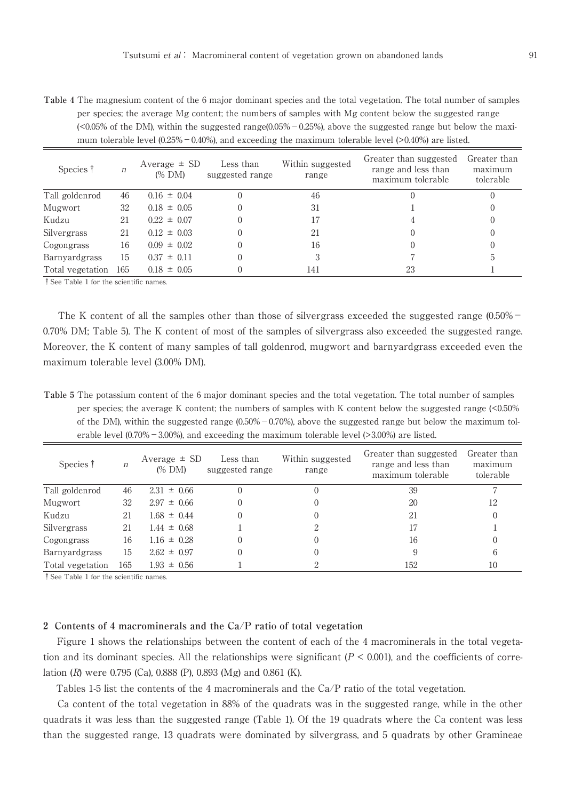**Table 4** The magnesium content of the 6 major dominant species and the total vegetation. The total number of samples per species; the average Mg content; the numbers of samples with Mg content below the suggested range  $\langle$  <0.05% of the DM), within the suggested range(0.05% - 0.25%), above the suggested range but below the maximum tolerable level  $(0.25\% - 0.40\%)$ , and exceeding the maximum tolerable level (>0.40%) are listed.

| Species †        | n   | Average $\pm$ SD<br>$(\%$ DM) | Less than<br>suggested range | Within suggested<br>range | Greater than suggested<br>range and less than<br>maximum tolerable | Greater than<br>maximum<br>tolerable |
|------------------|-----|-------------------------------|------------------------------|---------------------------|--------------------------------------------------------------------|--------------------------------------|
| Tall goldenrod   | 46  | $0.16 \pm 0.04$               |                              | 46                        |                                                                    | $\Omega$                             |
| Mugwort          | 32  | $0.18 \pm 0.05$               |                              | 31                        |                                                                    | $_{0}$                               |
| Kudzu            | 21  | $0.22 \pm 0.07$               |                              | 17                        |                                                                    | $\left( \right)$                     |
| Silvergrass      | 21  | $0.12 \pm 0.03$               |                              | 21                        |                                                                    | $_{0}$                               |
| Cogongrass       | 16  | $0.09 \pm 0.02$               |                              | 16                        |                                                                    | $\theta$                             |
| Barnyardgrass    | 15  | $0.37 \pm 0.11$               |                              | 3                         |                                                                    | 5                                    |
| Total vegetation | 165 | $0.18 \pm 0.05$               |                              | 141                       | 23                                                                 |                                      |

†See Table 1 for the scientific names.

The K content of all the samples other than those of silvergrass exceeded the suggested range (0.50% – 0.70% DM; Table 5). The K content of most of the samples of silvergrass also exceeded the suggested range. Moreover, the K content of many samples of tall goldenrod, mugwort and barnyardgrass exceeded even the maximum tolerable level (3.00% DM).

**Table 5** The potassium content of the 6 major dominant species and the total vegetation. The total number of samples per species; the average K content; the numbers of samples with K content below the suggested range (<0.50% of the DM), within the suggested range  $(0.50\% - 0.70\%)$ , above the suggested range but below the maximum tolerable level  $(0.70\% - 3.00\%)$ , and exceeding the maximum tolerable level (>3.00%) are listed.

| Species †        | n   | Average $\pm$ SD<br>$(\%$ DM) | Less than<br>suggested range | Within suggested<br>range | Greater than suggested<br>range and less than<br>maximum tolerable | Greater than<br>maximum<br>tolerable |
|------------------|-----|-------------------------------|------------------------------|---------------------------|--------------------------------------------------------------------|--------------------------------------|
| Tall goldenrod   | 46  | $2.31 \pm 0.66$               |                              |                           | 39                                                                 |                                      |
| Mugwort          | 32  | $2.97 \pm 0.66$               |                              |                           | 20                                                                 | 12                                   |
| Kudzu            | 21  | $1.68 \pm 0.44$               | $\Omega$                     |                           | 21                                                                 | $\left( \right)$                     |
| Silvergrass      | 21  | $1.44 \pm 0.68$               |                              |                           | 17                                                                 |                                      |
| Cogongrass       | 16  | $1.16 \pm 0.28$               | $\Omega$                     |                           | 16                                                                 | $\cup$                               |
| Barnyardgrass    | 15  | $2.62 \pm 0.97$               | $\theta$                     |                           | 9                                                                  | b                                    |
| Total vegetation | 165 | $1.93 \pm 0.56$               |                              |                           | 152                                                                | 10                                   |

†See Table 1 for the scientific names.

#### **2 Contents of 4 macrominerals and the Ca/P ratio of total vegetation**

Figure 1 shows the relationships between the content of each of the 4 macrominerals in the total vegetation and its dominant species. All the relationships were significant  $(P < 0.001)$ , and the coefficients of correlation (R) were 0.795 (Ca), 0.888 (P), 0.893 (Mg) and 0.861 (K).

Tables 1-5 list the contents of the 4 macrominerals and the Ca/P ratio of the total vegetation.

Ca content of the total vegetation in 88% of the quadrats was in the suggested range, while in the other quadrats it was less than the suggested range (Table 1). Of the 19 quadrats where the Ca content was less than the suggested range, 13 quadrats were dominated by silvergrass, and 5 quadrats by other Gramineae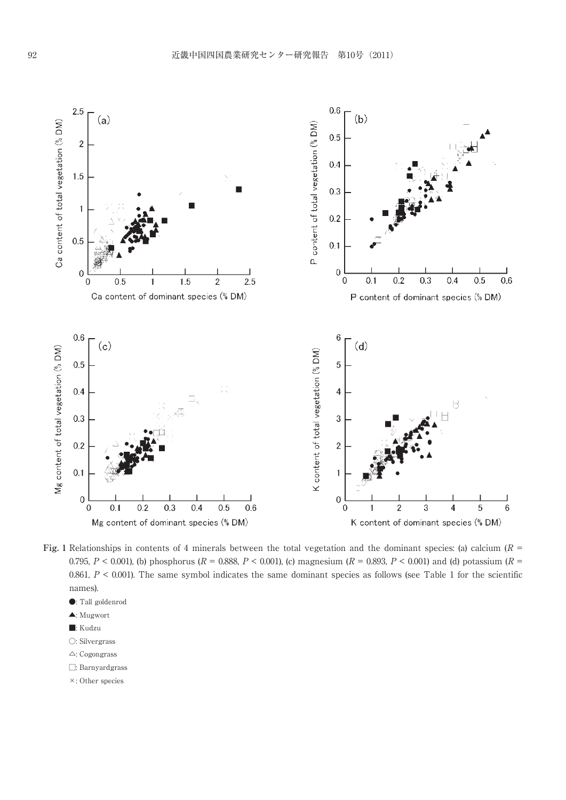

**Fig.** 1 Relationships in contents of 4 minerals between the total vegetation and the dominant species: (a) calcium  $(R =$ 0.795,  $P < 0.001$ ), (b) phosphorus ( $R = 0.888$ ,  $P < 0.001$ ), (c) magnesium ( $R = 0.893$ ,  $P < 0.001$ ) and (d) potassium ( $R = 0.001$ ) 0.861,  $P < 0.001$ ). The same symbol indicates the same dominant species as follows (see Table 1 for the scientific names).

- ●: Tall goldenrod
- ▲: Mugwort
- ■: Kudzu
- ○: Silvergrass
- △: Cogongrass
- □: Barnyardgrass
- ×: Other species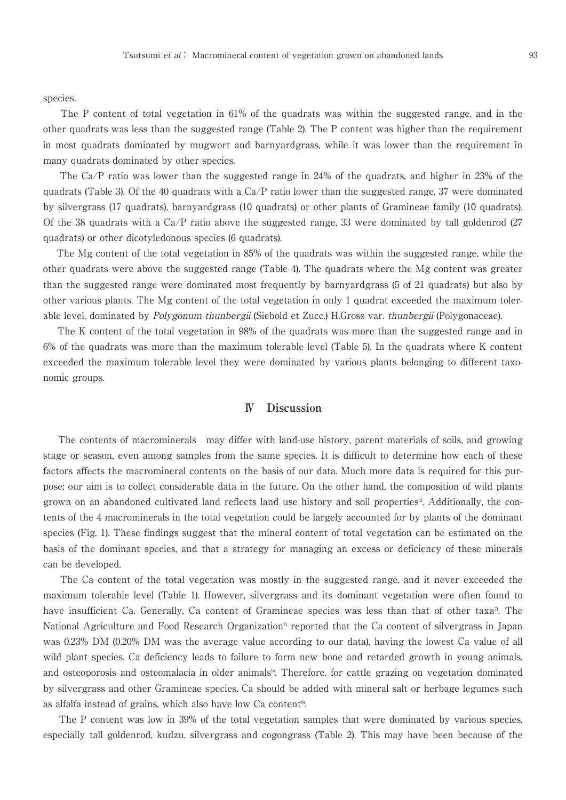species.

The P content of total vegetation in 61% of the quadrats was within the suggested range, and in the other quadrats was less than the suggested range (Table 2). The P content was higher than the requirement in most quadrats dominated by mugwort and barnyardgrass, while it was lower than the requirement in many quadrats dominated by other species.

The Ca/P ratio was lower than the suggested range in 24% of the quadrats, and higher in 23% of the quadrats (Table 3). Of the 40 quadrats with a  $Ca/P$  ratio lower than the suggested range, 37 were dominated by silvergrass (17 quadrats), barnyardgrass (10 quadrats) or other plants of Gramineae family (10 quadrats). Of the 38 quadrats with a Ca/P ratio above the suggested range, 33 were dominated by tall goldenrod (27 quadrats) or other dicotyledonous species (6 quadrats).

The Mg content of the total vegetation in 85% of the quadrats was within the suggested range, while the other quadrats were above the suggested range (Table 4). The quadrats where the Mg content was greater than the suggested range were dominated most frequently by barnyardgrass (5 of 21 quadrats) but also by other various plants. The Mg content of the total vegetation in only 1 quadrat exceeded the maximum tolerable level, dominated by *Polygonum thunbergii* (Siebold et Zucc.) H.Gross var. *thunbergii* (Polygonaceae).

The K content of the total vegetation in 98% of the quadrats was more than the suggested range and in 6% of the quadrats was more than the maximum tolerable level (Table 5). In the quadrats where K content exceeded the maximum tolerable level they were dominated by various plants belonging to different taxonomic groups.

## **Ⅳ Discussion**

The contents of macrominerals may differ with land-use history, parent materials of soils, and growing stage or season, even among samples from the same species. It is difficult to determine how each of these factors affects the macromineral contents on the basis of our data. Much more data is required for this purpose; our aim is to collect considerable data in the future. On the other hand, the composition of wild plants grown on an abandoned cultivated land reflects land use history and soil properties<sup>4</sup>. Additionally, the contents of the 4 macrominerals in the total vegetation could be largely accounted for by plants of the dominant species (Fig. 1). These findings suggest that the mineral content of total vegetation can be estimated on the basis of the dominant species, and that a strategy for managing an excess or deficiency of these minerals can be developed.

The Ca content of the total vegetation was mostly in the suggested range, and it never exceeded the maximum tolerable level (Table 1). However, silvergrass and its dominant vegetation were often found to have insufficient Ca. Generally, Ca content of Gramineae species was less than that of other taxa<sup>7</sup>. The National Agriculture and Food Research Organization<sup>7</sup> reported that the Ca content of silvergrass in Japan was 0.23% DM (0.20% DM was the average value according to our data), having the lowest Ca value of all wild plant species. Ca deficiency leads to failure to form new bone and retarded growth in young animals, and osteoporosis and osteomalacia in older animals<sup>9</sup>. Therefore, for cattle grazing on vegetation dominated by silvergrass and other Gramineae species, Ca should be added with mineral salt or herbage legumes such as alfalfa instead of grains, which also have low Ca content<sup>9</sup>.

The P content was low in 39% of the total vegetation samples that were dominated by various species, especially tall goldenrod, kudzu, silvergrass and cogongrass (Table 2). This may have been because of the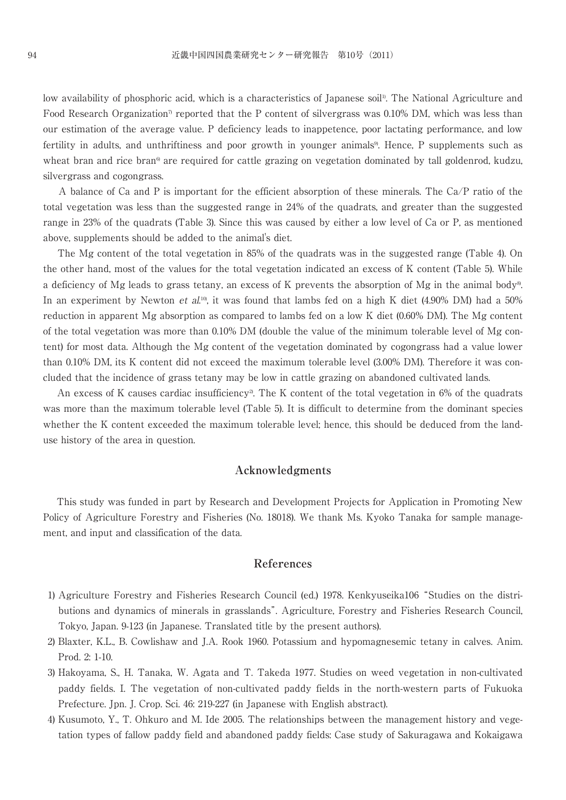low availability of phosphoric acid, which is a characteristics of Japanese soil<sup>1)</sup>. The National Agriculture and Food Research Organization<sup>7</sup> reported that the P content of silvergrass was 0.10% DM, which was less than our estimation of the average value. P deficiency leads to inappetence, poor lactating performance, and low fertility in adults, and unthriftiness and poor growth in younger animals<sup>9</sup>. Hence, P supplements such as wheat bran and rice bran<sup>6</sup> are required for cattle grazing on vegetation dominated by tall goldenrod, kudzu, silvergrass and cogongrass.

A balance of Ca and P is important for the efficient absorption of these minerals. The Ca/P ratio of the total vegetation was less than the suggested range in 24% of the quadrats, and greater than the suggested range in 23% of the quadrats (Table 3). Since this was caused by either a low level of Ca or P, as mentioned above, supplements should be added to the animal's diet.

The Mg content of the total vegetation in 85% of the quadrats was in the suggested range (Table 4). On the other hand, most of the values for the total vegetation indicated an excess of K content (Table 5). While a deficiency of Mg leads to grass tetany, an excess of K prevents the absorption of Mg in the animal body8). In an experiment by Newton *et al*.<sup>10</sup>, it was found that lambs fed on a high K diet (4.90% DM) had a 50% reduction in apparent Mg absorption as compared to lambs fed on a low K diet (0.60% DM). The Mg content of the total vegetation was more than 0.10% DM (double the value of the minimum tolerable level of Mg content) for most data. Although the Mg content of the vegetation dominated by cogongrass had a value lower than 0.10% DM, its K content did not exceed the maximum tolerable level (3.00% DM). Therefore it was concluded that the incidence of grass tetany may be low in cattle grazing on abandoned cultivated lands.

An excess of K causes cardiac insufficiency<sup>2</sup>. The K content of the total vegetation in 6% of the quadrats was more than the maximum tolerable level (Table 5). It is difficult to determine from the dominant species whether the K content exceeded the maximum tolerable level; hence, this should be deduced from the landuse history of the area in question.

# **Acknowledgments**

This study was funded in part by Research and Development Projects for Application in Promoting New Policy of Agriculture Forestry and Fisheries (No. 18018). We thank Ms. Kyoko Tanaka for sample management, and input and classification of the data.

#### **References**

- 1) Agriculture Forestry and Fisheries Research Council (ed.) 1978. Kenkyuseika106"Studies on the distributions and dynamics of minerals in grasslands". Agriculture, Forestry and Fisheries Research Council, Tokyo, Japan. 9-123 (in Japanese. Translated title by the present authors).
- 2) Blaxter, K.L., B. Cowlishaw and J.A. Rook 1960. Potassium and hypomagnesemic tetany in calves. Anim. Prod. 2: 1-10.
- 3) Hakoyama, S., H. Tanaka, W. Agata and T. Takeda 1977. Studies on weed vegetation in non-cultivated paddy fields. I. The vegetation of non-cultivated paddy fields in the north-western parts of Fukuoka Prefecture. Jpn. J. Crop. Sci. 46: 219-227 (in Japanese with English abstract).
- 4) Kusumoto, Y., T. Ohkuro and M. Ide 2005. The relationships between the management history and vegetation types of fallow paddy field and abandoned paddy fields: Case study of Sakuragawa and Kokaigawa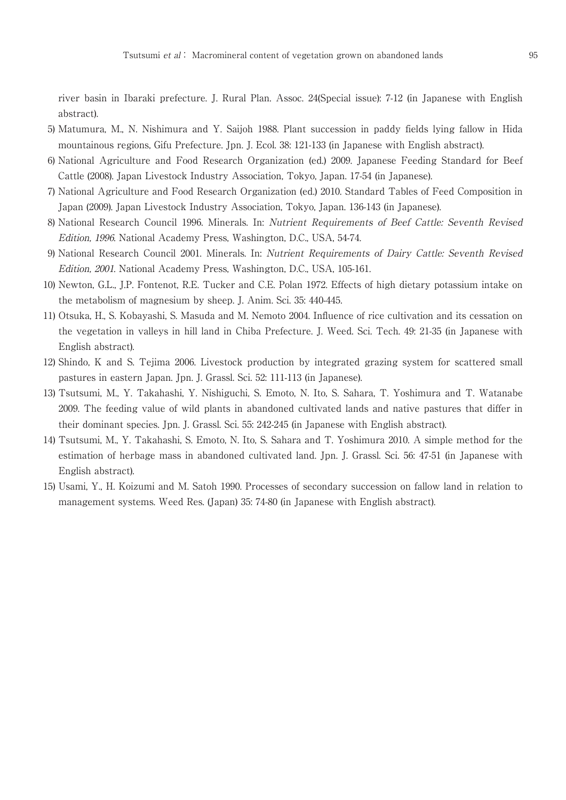river basin in Ibaraki prefecture. J. Rural Plan. Assoc. 24(Special issue): 7-12 (in Japanese with English abstract).

- 5) Matumura, M., N. Nishimura and Y. Saijoh 1988. Plant succession in paddy fields lying fallow in Hida mountainous regions, Gifu Prefecture. Jpn. J. Ecol. 38: 121-133 (in Japanese with English abstract).
- 6) National Agriculture and Food Research Organization (ed.) 2009. Japanese Feeding Standard for Beef Cattle (2008). Japan Livestock Industry Association, Tokyo, Japan. 17-54 (in Japanese).
- 7) National Agriculture and Food Research Organization (ed.) 2010. Standard Tables of Feed Composition in Japan (2009). Japan Livestock Industry Association, Tokyo, Japan. 136-143 (in Japanese).
- 8) National Research Council 1996. Minerals. In: Nutrient Requirements of Beef Cattle: Seventh Revised Edition, 1996. National Academy Press, Washington, D.C., USA, 54-74.
- 9) National Research Council 2001. Minerals. In: Nutrient Requirements of Dairy Cattle: Seventh Revised Edition, 2001. National Academy Press, Washington, D.C., USA, 105-161.
- 10) Newton, G.L., J.P. Fontenot, R.E. Tucker and C.E. Polan 1972. Effects of high dietary potassium intake on the metabolism of magnesium by sheep. J. Anim. Sci. 35: 440-445.
- 11) Otsuka, H., S. Kobayashi, S. Masuda and M. Nemoto 2004. Influence of rice cultivation and its cessation on the vegetation in valleys in hill land in Chiba Prefecture. J. Weed. Sci. Tech. 49: 21-35 (in Japanese with English abstract).
- 12) Shindo, K and S. Tejima 2006. Livestock production by integrated grazing system for scattered small pastures in eastern Japan. Jpn. J. Grassl. Sci. 52: 111-113 (in Japanese).
- 13) Tsutsumi, M., Y. Takahashi, Y. Nishiguchi, S. Emoto, N. Ito, S. Sahara, T. Yoshimura and T. Watanabe 2009. The feeding value of wild plants in abandoned cultivated lands and native pastures that differ in their dominant species. Jpn. J. Grassl. Sci. 55: 242-245 (in Japanese with English abstract).
- 14) Tsutsumi, M., Y. Takahashi, S. Emoto, N. Ito, S. Sahara and T. Yoshimura 2010. A simple method for the estimation of herbage mass in abandoned cultivated land. Jpn. J. Grassl. Sci. 56: 47-51 (in Japanese with English abstract).
- 15) Usami, Y., H. Koizumi and M. Satoh 1990. Processes of secondary succession on fallow land in relation to management systems. Weed Res. (Japan) 35: 74-80 (in Japanese with English abstract).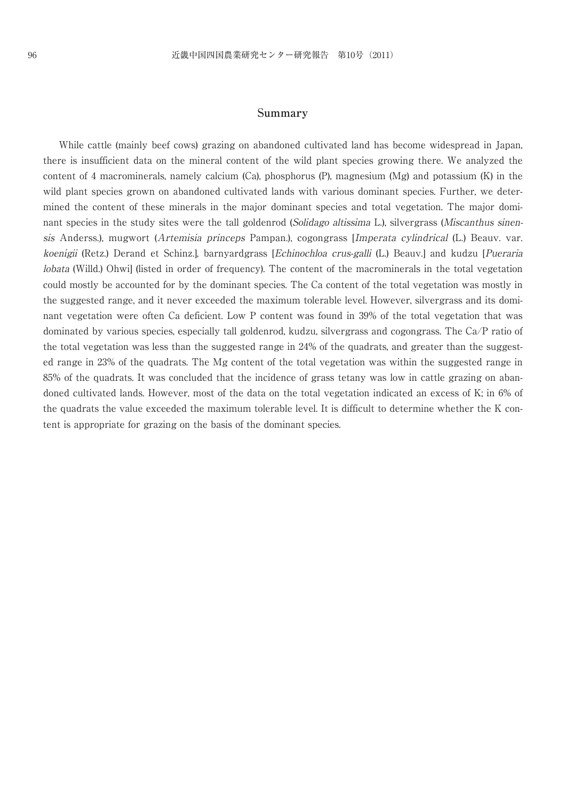#### **Summary**

While cattle (mainly beef cows) grazing on abandoned cultivated land has become widespread in Japan, there is insufficient data on the mineral content of the wild plant species growing there. We analyzed the content of 4 macrominerals, namely calcium (Ca), phosphorus (P), magnesium (Mg) and potassium (K) in the wild plant species grown on abandoned cultivated lands with various dominant species. Further, we determined the content of these minerals in the major dominant species and total vegetation. The major dominant species in the study sites were the tall goldenrod (Solidago altissima L.), silvergrass (Miscanthus sinensis Anderss.), mugwort (Artemisia princeps Pampan.), cogongrass [Imperata cylindrical (L.) Beauv. var. koenigii (Retz.) Derand et Schinz.], barnyardgrass [Echinochloa crus-galli (L.) Beauv.] and kudzu [Pueraria lobata (Willd.) Ohwi] (listed in order of frequency). The content of the macrominerals in the total vegetation could mostly be accounted for by the dominant species. The Ca content of the total vegetation was mostly in the suggested range, and it never exceeded the maximum tolerable level. However, silvergrass and its dominant vegetation were often Ca deficient. Low P content was found in 39% of the total vegetation that was dominated by various species, especially tall goldenrod, kudzu, silvergrass and cogongrass. The Ca/P ratio of the total vegetation was less than the suggested range in 24% of the quadrats, and greater than the suggested range in 23% of the quadrats. The Mg content of the total vegetation was within the suggested range in 85% of the quadrats. It was concluded that the incidence of grass tetany was low in cattle grazing on abandoned cultivated lands. However, most of the data on the total vegetation indicated an excess of K; in 6% of the quadrats the value exceeded the maximum tolerable level. It is difficult to determine whether the K content is appropriate for grazing on the basis of the dominant species.